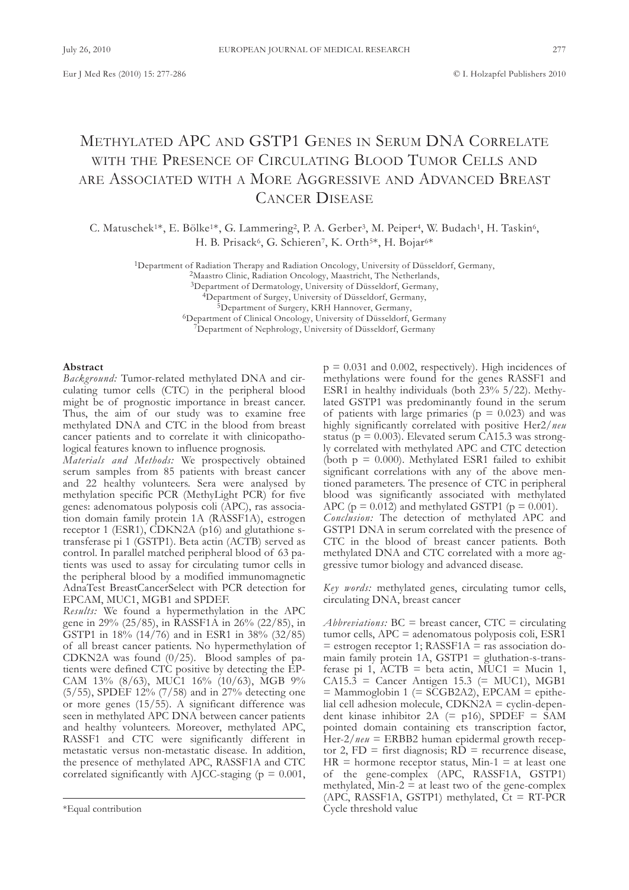# METHYLATED APC AND GSTP1 GENES IN SERUM DNA CORRELATE WITH THE PRESENCE OF CIRCULATING BLOOD TUMOR CELLS AND ARE ASSOCIATED WITH A MORE AGGRESSIVE AND ADVANCED BREAST CANCER DISEASE

C. Matuschek<sup>1\*</sup>, E. Bölke<sup>1\*</sup>, G. Lammering<sup>2</sup>, P. A. Gerber<sup>3</sup>, M. Peiper<sup>4</sup>, W. Budach<sup>1</sup>, H. Taskin<sup>6</sup>, H. B. Prisack<sup>6</sup>, G. Schieren<sup>7</sup>, K. Orth<sup>5\*</sup>, H. Bojar<sup>6\*</sup>

<sup>1</sup>Department of Radiation Therapy and Radiation Oncology, University of Düsseldorf, Germany,

<sup>2</sup>Maastro Clinic, Radiation Oncology, Maastricht, The Netherlands,

<sup>3</sup>Department of Dermatology, University of Düsseldorf, Germany,

<sup>4</sup>Department of Surgey, University of Düsseldorf, Germany,

<sup>5</sup>Department of Surgery, KRH Hannover, Germany,

<sup>6</sup>Department of Clinical Oncology, University of Düsseldorf, Germany

<sup>7</sup>Department of Nephrology, University of Düsseldorf, Germany

#### **Abstract**

*Background:* Tumor-related methylated DNA and circulating tumor cells (CTC) in the peripheral blood might be of prognostic importance in breast cancer. Thus, the aim of our study was to examine free methylated DNA and CTC in the blood from breast cancer patients and to correlate it with clinicopathological features known to influence prognosis.

*Materials and Methods:* we prospectively obtained serum samples from 85 patients with breast cancer and 22 healthy volunteers. Sera were analysed by methylation specific PCR (Methylight PCR) for five genes: adenomatous polyposis coli (aPC), ras association domain family protein 1A (RASSF1A), estrogen receptor 1 (ESR1), CDKN2A (p16) and glutathione stransferase pi 1 (GSTP1). Beta actin (ACTB) served as control. In parallel matched peripheral blood of 63 patients was used to assay for circulating tumor cells in the peripheral blood by a modified immunomagnetic adnatest BreastCancerSelect with PCR detection for EPCAM, MUC1, MGB1 and SPDEF.

*Results:* we found a hypermethylation in the aPC gene in 29% (25/85), in RaSSf1a in 26% (22/85), in GStP1 in 18% (14/76) and in ESR1 in 38% (32/85) of all breast cancer patients. No hypermethylation of CDKN2A was found  $(0/25)$ . Blood samples of patients were defined CTC positive by detecting the EP-CaM 13% (8/63), MuC1 16% (10/63), MGB 9% (5/55), SPDEF 12% (7/58) and in 27% detecting one or more genes (15/55). A significant difference was seen in methylated APC DNA between cancer patients and healthy volunteers. Moreover, methylated aPC, RASSF1 and CTC were significantly different in metastatic versus non-metastatic disease. In addition, the presence of methylated APC, RASSF1A and CTC correlated significantly with AJCC-staging ( $p = 0.001$ ,  $p = 0.031$  and 0.002, respectively). High incidences of methylations were found for the genes RaSSf1 and ESR1 in healthy individuals (both 23% 5/22). Methylated GStP1 was predominantly found in the serum of patients with large primaries ( $p = 0.023$ ) and was highly significantly correlated with positive Her2/*neu* status ( $p = 0.003$ ). Elevated serum CA15.3 was strongly correlated with methylated APC and CTC detection (both  $p = 0.000$ ). Methylated ESR1 failed to exhibit significant correlations with any of the above mentioned parameters. The presence of CTC in peripheral blood was significantly associated with methylated APC ( $p = 0.012$ ) and methylated GSTP1 ( $p = 0.001$ ). *Conclusion:* the detection of methylated aPC and GSTP1 DNA in serum correlated with the presence of CTC in the blood of breast cancer patients. Both methylated DNA and CTC correlated with a more aggressive tumor biology and advanced disease.

*Key words:* methylated genes, circulating tumor cells, circulating DNA, breast cancer

*Abbreviations:*  $BC =$  breast cancer,  $CTC =$  circulating tumor cells, aPC = adenomatous polyposis coli, ESR1  $=$  estrogen receptor 1; RASSF1A  $=$  ras association domain family protein  $1A$ , GSTP1 = gluthation-s-transferase pi 1,  $\angle$ ACTB = beta actin, MUC1 = Mucin 1,  $CA15.3 = Cancer Antigen 15.3 (= MUC1), MGB1$  $=$  Mammoglobin 1 (= SCGB2A2), EPCAM  $=$  epithelial cell adhesion molecule,  $CDKN2A = cyclin-depen$ dent kinase inhibitor  $2A$  (= p16), SPDEF = SAM pointed domain containing ets transcription factor, Her-2/*neu* = ERBB2 human epidermal growth receptor 2,  $FD =$  first diagnosis;  $RD =$  recurrence disease,  $HR = hormone receptor status, Min-1 = at least one$ of the gene-complex (aPC, RaSSf1a, GStP1) methylated,  $Min-2 = at least two of the gene-complex$ (APC, RASSF1A, GSTP1) methylated,  $C_t = RT-PCR$ Cycle threshold value

<sup>\*</sup>Equal contribution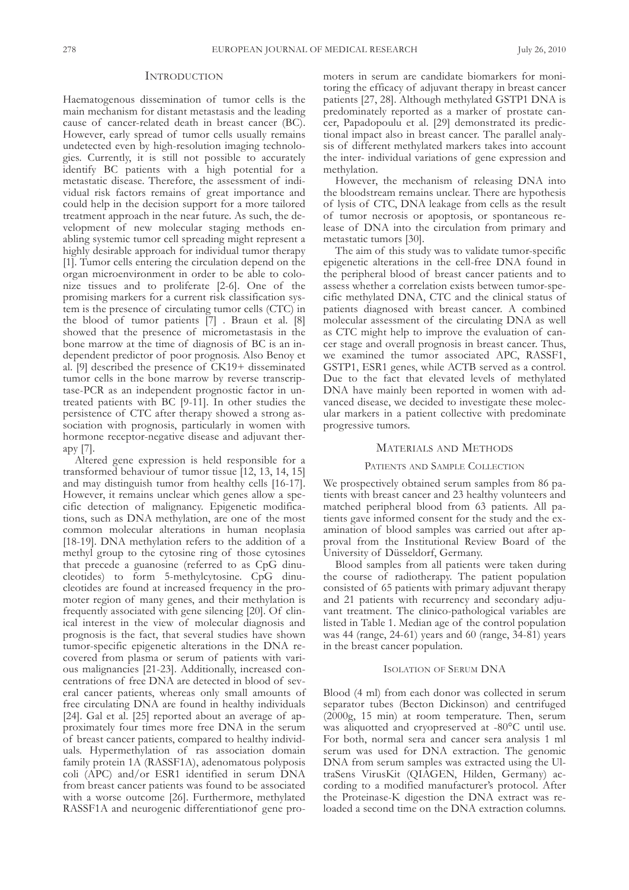## **INTRODUCTION**

Haematogenous dissemination of tumor cells is the main mechanism for distant metastasis and the leading cause of cancer-related death in breast cancer (BC). However, early spread of tumor cells usually remains undetected even by high-resolution imaging technologies. Currently, it is still not possible to accurately identify BC patients with a high potential for a metastatic disease. Therefore, the assessment of individual risk factors remains of great importance and could help in the decision support for a more tailored treatment approach in the near future. As such, the development of new molecular staging methods enabling systemic tumor cell spreading might represent a highly desirable approach for individual tumor therapy [1]. Tumor cells entering the circulation depend on the organ microenvironment in order to be able to colonize tissues and to proliferate [2-6]. One of the promising markers for a current risk classification system is the presence of circulating tumor cells (CTC) in the blood of tumor patients [7] . Braun et al. [8] showed that the presence of micrometastasis in the bone marrow at the time of diagnosis of BC is an independent predictor of poor prognosis. also Benoy et al. [9] described the presence of CK19+ disseminated tumor cells in the bone marrow by reverse transcriptase-PCR as an independent prognostic factor in untreated patients with BC [9-11]. In other studies the persistence of CTC after therapy showed a strong association with prognosis, particularly in women with hormone receptor-negative disease and adjuvant therapy [7].

altered gene expression is held responsible for a transformed behaviour of tumor tissue [12, 13, 14, 15] and may distinguish tumor from healthy cells [16-17]. However, it remains unclear which genes allow a specific detection of malignancy. Epigenetic modifications, such as DNA methylation, are one of the most common molecular alterations in human neoplasia [18-19]. DNA methylation refers to the addition of a methyl group to the cytosine ring of those cytosines that precede a guanosine (referred to as CpG dinucleotides) to form 5-methylcytosine. CpG dinucleotides are found at increased frequency in the promoter region of many genes, and their methylation is frequently associated with gene silencing [20]. of clinical interest in the view of molecular diagnosis and prognosis is the fact, that several studies have shown tumor-specific epigenetic alterations in the DNA recovered from plasma or serum of patients with various malignancies [21-23]. additionally, increased concentrations of free DNA are detected in blood of several cancer patients, whereas only small amounts of free circulating DNA are found in healthy individuals [24]. Gal et al. [25] reported about an average of approximately four times more free DNA in the serum of breast cancer patients, compared to healthy individuals. Hypermethylation of ras association domain family protein 1A (RASSF1A), adenomatous polyposis  $\text{coll}$  (APC) and/or ESR1 identified in serum DNA from breast cancer patients was found to be associated with a worse outcome [26]. Furthermore, methylated RASSF1A and neurogenic differentiation of gene promoters in serum are candidate biomarkers for monitoring the efficacy of adjuvant therapy in breast cancer patients [27, 28]. Although methylated GSTP1 DNA is predominately reported as a marker of prostate cancer, Papadopoulu et al. [29] demonstrated its predictional impact also in breast cancer. The parallel analysis of different methylated markers takes into account the inter- individual variations of gene expression and methylation.

However, the mechanism of releasing DNA into the bloodstream remains unclear. There are hypothesis of lysis of CTC, DNA leakage from cells as the result of tumor necrosis or apoptosis, or spontaneous release of DNA into the circulation from primary and metastatic tumors [30].

The aim of this study was to validate tumor-specific epigenetic alterations in the cell-free DNA found in the peripheral blood of breast cancer patients and to assess whether a correlation exists between tumor-specific methylated DNA, CTC and the clinical status of patients diagnosed with breast cancer. A combined molecular assessment of the circulating DNA as well as CTC might help to improve the evaluation of cancer stage and overall prognosis in breast cancer. Thus, we examined the tumor associated aPC, RaSSf1, GSTP1, ESR1 genes, while ACTB served as a control. Due to the fact that elevated levels of methylated DNA have mainly been reported in women with advanced disease, we decided to investigate these molecular markers in a patient collective with predominate progressive tumors.

# MATERIALS AND METHODS

#### PATIENTS AND SAMPLE COLLECTION

We prospectively obtained serum samples from 86 patients with breast cancer and 23 healthy volunteers and matched peripheral blood from 63 patients. all patients gave informed consent for the study and the examination of blood samples was carried out after approval from the Institutional Review Board of the University of Düsseldorf, Germany.

Blood samples from all patients were taken during the course of radiotherapy. The patient population consisted of 65 patients with primary adjuvant therapy and 21 patients with recurrency and secondary adjuvant treatment. The clinico-pathological variables are listed in table 1. Median age of the control population was 44 (range, 24-61) years and 60 (range, 34-81) years in the breast cancer population.

### **ISOLATION OF SERUM DNA**

Blood (4 ml) from each donor was collected in serum separator tubes (Becton Dickinson) and centrifuged  $(2000g, 15 min)$  at room temperature. Then, serum was aliquotted and cryopreserved at -80°C until use. for both, normal sera and cancer sera analysis 1 ml serum was used for DNA extraction. The genomic DNA from serum samples was extracted using the UltraSens VirusKit (QIAGEN, Hilden, Germany) according to a modified manufacturer's protocol. after the Proteinase-K digestion the DNA extract was reloaded a second time on the DNA extraction columns.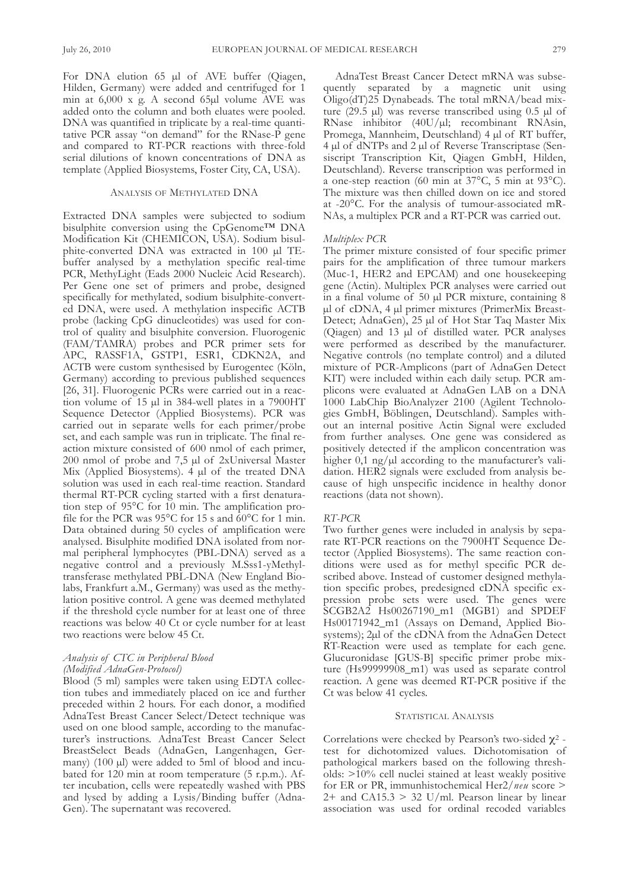For DNA elution 65 µl of AVE buffer (Qiagen, Hilden, Germany) were added and centrifuged for 1 min at  $6,000 \times g$ . A second  $65 \mu l$  volume AVE was added onto the column and both eluates were pooled. DNA was quantified in triplicate by a real-time quantitative PCR assay "on demand" for the RNase-P gene and compared to RT-PCR reactions with three-fold serial dilutions of known concentrations of DNA as template (Applied Biosystems, Foster City, CA, USA).

#### ANALYSIS OF METHYLATED DNA

Extracted DNA samples were subjected to sodium bisulphite conversion using the CpGenome™ DNA Modification Kit (CHEMICON, USA). Sodium bisulphite-converted DNA was extracted in 100 µl TEbuffer analysed by a methylation specific real-time PCR, MethyLight (Eads 2000 Nucleic Acid Research). Per Gene one set of primers and probe, designed specifically for methylated, sodium bisulphite-converted DNA, were used. A methylation inspecific ACTB probe (lacking CpG dinucleotides) was used for control of quality and bisulphite conversion. fluorogenic (FAM/TAMRA) probes and PCR primer sets for APC, RASSF1A, GSTP1, ESR1, CDKN2A, and ACTB were custom synthesised by Eurogentec (Köln, Germany) according to previous published sequences [26, 31]. fluorogenic PCRs were carried out in a reaction volume of 15 µl in 384-well plates in a 7900HT Sequence Detector (Applied Biosystems). PCR was carried out in separate wells for each primer/probe set, and each sample was run in triplicate. The final reaction mixture consisted of 600 nmol of each primer,  $200$  nmol of probe and 7,5  $\mu$ l of 2xUniversal Master Mix (Applied Biosystems).  $4 \mu l$  of the treated DNA solution was used in each real-time reaction. Standard thermal RT-PCR cycling started with a first denaturation step of  $95^{\circ}$ C for 10 min. The amplification profile for the PCR was 95°C for 15 s and 60°C for 1 min. Data obtained during 50 cycles of amplification were analysed. Bisulphite modified DNA isolated from normal peripheral lymphocytes (PBL-DNA) served as a negative control and a previously M.Sss1-yMethyltransferase methylated PBL-DNA (New England Biolabs, frankfurt a.M., Germany) was used as the methylation positive control. A gene was deemed methylated if the threshold cycle number for at least one of three reactions was below 40 Ct or cycle number for at least two reactions were below 45 Ct.

# *Analysis of CTC in Peripheral Blood (Modified AdnaGen-Protocol)*

Blood (5 ml) samples were taken using EDTA collection tubes and immediately placed on ice and further preceded within 2 hours. for each donor, a modified AdnaTest Breast Cancer Select/Detect technique was used on one blood sample, according to the manufacturer's instructions. AdnaTest Breast Cancer Select BreastSelect Beads (AdnaGen, Langenhagen, Germany) (100 µl) were added to 5ml of blood and incubated for 120 min at room temperature (5 r.p.m.). After incubation, cells were repeatedly washed with PBS and lysed by adding a Lysis/Binding buffer (Adna-Gen). The supernatant was recovered.

AdnaTest Breast Cancer Detect mRNA was subsequently separated by a magnetic unit using Oligo(dT)25 Dynabeads. The total mRNA/bead mixture (29.5 µl) was reverse transcribed using 0.5 µl of  $RNase$  inhibitor (40U/ $\mu$ l; recombinant RNAsin, Promega, Mannheim, Deutschland) 4 µl of RT buffer, 4 µl of dNTPs and 2 µl of Reverse Transcriptase (Sensiscript Transcription Kit, Qiagen GmbH, Hilden, Deutschland). Reverse transcription was performed in a one-step reaction (60 min at 37°C, 5 min at 93°C). The mixture was then chilled down on ice and stored at -20°C. for the analysis of tumour-associated mR-NAs, a multiplex PCR and a RT-PCR was carried out.

## *Multiplex PCR*

The primer mixture consisted of four specific primer pairs for the amplification of three tumour markers (Muc-1, HER2 and EPCAM) and one housekeeping gene (actin). Multiplex PCR analyses were carried out in a final volume of 50 µl PCR mixture, containing 8 µl of cDNA, 4 µl primer mixtures (PrimerMix Breast-Detect; AdnaGen), 25 µl of Hot Star Taq Master Mix (Qiagen) and 13 µl of distilled water. PCR analyses were performed as described by the manufacturer. Negative controls (no template control) and a diluted mixture of PCR-Amplicons (part of AdnaGen Detect KIT) were included within each daily setup. PCR amplicons were evaluated at AdnaGen LAB on a DNA 1000 LabChip BioAnalyzer 2100 (Agilent Technologies GmbH, Böblingen, Deutschland). Samples without an internal positive actin Signal were excluded from further analyses. One gene was considered as positively detected if the amplicon concentration was higher  $0,1$  ng/ $\mu$ l according to the manufacturer's validation. HER2 signals were excluded from analysis because of high unspecific incidence in healthy donor reactions (data not shown).

## *RT-PCR*

Two further genes were included in analysis by separate RT-PCR reactions on the 7900HT Sequence Detector (Applied Biosystems). The same reaction conditions were used as for methyl specific PCR described above. Instead of customer designed methylation specific probes, predesigned cDNA specific expression probe sets were used. The genes were SCGB2A2 Hs00267190\_m1 (MGB1) and SPDEF Hs00171942\_m1 (Assays on Demand, Applied Biosystems);  $2\mu$ l of the cDNA from the Adna $\overline{Gen}$  Detect RT-Reaction were used as template for each gene. Glucuronidase [GuS-B] specific primer probe mixture (Hs99999908\_m1) was used as separate control reaction. A gene was deemed RT-PCR positive if the Ct was below 41 cycles.

#### STATISTICAL ANALYSIS

Correlations were checked by Pearson's two-sided  $\chi^2$  test for dichotomized values. Dichotomisation of pathological markers based on the following thresholds: >10% cell nuclei stained at least weakly positive for ER or PR, immunhistochemical Her2/*neu* score >  $2+$  and CA15.3 > 32 U/ml. Pearson linear by linear association was used for ordinal recoded variables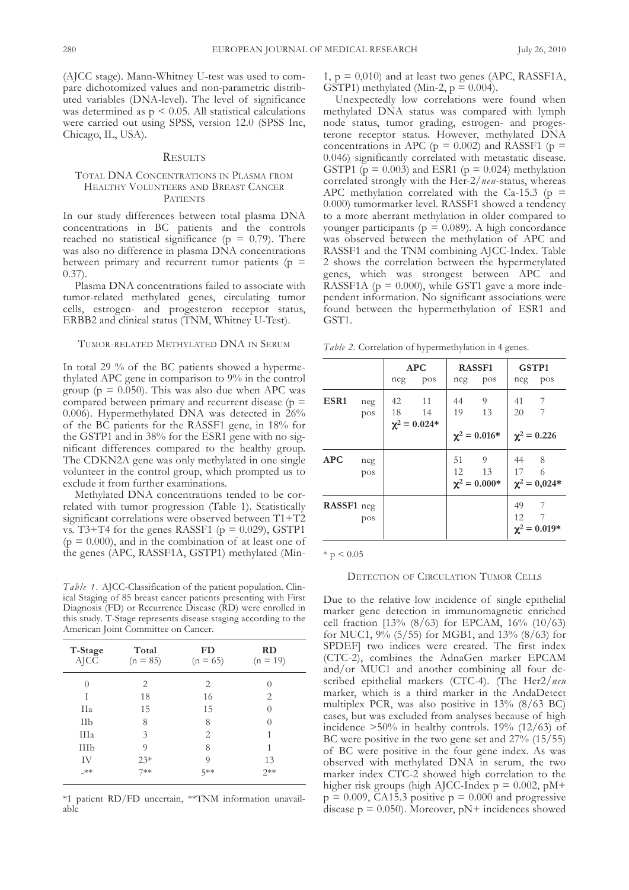(AJCC stage). Mann-Whitney U-test was used to compare dichotomized values and non-parametric distributed variables (DNA-level). The level of significance was determined as  $p \leq 0.05$ . All statistical calculations were carried out using SPSS, version 12.0 (SPSS Inc, Chicago, IL, USA).

#### **RESULTS**

# total dna ConCEntRatIonS In PlaSMa fRoM HEALTHY VOLUNTEERS AND BREAST CANCER PATIENTS

In our study differences between total plasma DNA concentrations in BC patients and the controls reached no statistical significance ( $p = 0.79$ ). There was also no difference in plasma DNA concentrations between primary and recurrent tumor patients ( $p =$  $(0.37)$ .

Plasma DNA concentrations failed to associate with tumor-related methylated genes, circulating tumor cells, estrogen- and progesteron receptor status, ERBB2 and clinical status (TNM, Whitney U-Test).

# TUMOR-RELATED METHYLATED DNA IN SERUM

In total 29 % of the BC patients showed a hypermethylated aPC gene in comparison to 9% in the control group ( $p = 0.050$ ). This was also due when APC was compared between primary and recurrent disease ( $p =$ 0.006). Hypermethylated DNA was detected in  $26\%$ of the BC patients for the RaSSf1 gene, in 18% for the GStP1 and in 38% for the ESR1 gene with no significant differences compared to the healthy group. The CDKN2A gene was only methylated in one single volunteer in the control group, which prompted us to exclude it from further examinations.

Methylated DNA concentrations tended to be correlated with tumor progression (Table 1). Statistically significant correlations were observed between  $T1+T2$ vs. T3+T4 for the genes RASSF1 ( $p = 0.029$ ), GSTP1  $(p = 0.000)$ , and in the combination of at least one of the genes (APC, RASSF1A, GSTP1) methylated (Min-

*Table 1.* AJCC-Classification of the patient population. Clinical Staging of 85 breast cancer patients presenting with first Diagnosis (FD) or Recurrence Disease (RD) were enrolled in this study. T-Stage represents disease staging according to the American Joint Committee on Cancer.

| T-Stage<br><b>AJCC</b> | Total<br>$(n = 85)$ | FD<br>$(n = 65)$ | RD<br>$(n = 19)$ |
|------------------------|---------------------|------------------|------------------|
| 0                      | 2                   | 2                |                  |
| T                      | 18                  | 16               | 2                |
| IIa                    | 15                  | 15               | $\left( \right)$ |
| IIb                    | 8                   | 8                | $\left( \right)$ |
| IIIa                   | $\mathcal{E}$       | 2                | 1                |
| IIIb                   | 9                   | 8                | 1                |
| IV                     | $23*$               | 9                | 13               |
| $_{\mathbf{+}}$        | $7**$               | $5**$            | $2**$            |

\*1 patient Rd/fd uncertain, \*\*tnM information unavailable

1,  $p = 0.010$ ) and at least two genes (APC, RASSF1A, GSTP1) methylated (Min-2,  $p = 0.004$ ).

Unexpectedly low correlations were found when methylated DNA status was compared with lymph node status, tumor grading, estrogen- and progesterone receptor status. However, methylated DNA concentrations in APC ( $p = 0.002$ ) and RASSF1 ( $p =$ 0.046) significantly correlated with metastatic disease. GSTP1 ( $p = 0.003$ ) and ESR1 ( $p = 0.024$ ) methylation correlated strongly with the Her-2/*neu*-status, whereas APC methylation correlated with the Ca-15.3 ( $p =$ 0.000) tumormarker level. RASSF1 showed a tendency to a more aberrant methylation in older compared to younger participants ( $p = 0.089$ ). A high concordance was observed between the methylation of aPC and RASSF1 and the TNM combining AJCC-Index. Table 2 shows the correlation between the hypermetylated genes, which was strongest between aPC and RASSF1A ( $p = 0.000$ ), while GST1 gave a more independent information. No significant associations were found between the hypermethylation of ESR1 and GST<sub>1</sub>.

*Table 2.* Correlation of hypermethylation in 4 genes.

|                  |            | neg      | <b>APC</b><br>pos              | <b>RASSF1</b><br>neg pos |                              | GSTP1<br>neg pos      |                               |
|------------------|------------|----------|--------------------------------|--------------------------|------------------------------|-----------------------|-------------------------------|
| ESR <sub>1</sub> | neg<br>pos | 42<br>18 | -11<br>14<br>$\chi^2 = 0.024*$ | 44<br>19                 | 9<br>13<br>$\chi^2 = 0.016*$ | 41<br>20              | -7<br>7<br>$\chi^2 = 0.226$   |
| <b>APC</b>       | neg<br>pos |          |                                | 51<br>12                 | 9<br>13<br>$\chi^2 = 0.000*$ | 44 8<br>17 6          | $\chi^2 = 0.024*$             |
| RASSF1 neg       | pos        |          |                                |                          |                              | 49<br>12 <sup>2</sup> | - 7<br>7<br>$\chi^2 = 0.019*$ |

 $*$  p  $< 0.05$ 

### DETECTION OF CIRCULATION TUMOR CELLS

Due to the relative low incidence of single epithelial marker gene detection in immunomagnetic enriched cell fraction [13% (8/63) for EPCaM, 16% (10/63) for MuC1, 9% (5/55) for MGB1, and 13% (8/63) for SPDEF] two indices were created. The first index (CTC-2), combines the AdnaGen marker EPCAM and/or MuC1 and another combining all four described epithelial markers (CTC-4). (The Her2/*neu* marker, which is a third marker in the AndaDetect multiplex PCR, was also positive in 13% (8/63 BC) cases, but was excluded from analyses because of high incidence >50% in healthy controls. 19% (12/63) of BC were positive in the two gene set and 27% (15/55) of BC were positive in the four gene index. As was observed with methylated DNA in serum, the two marker index CTC-2 showed high correlation to the higher risk groups (high AJCC-Index  $p = 0.002$ ,  $pM+$  $p = 0.009$ , CA15.3 positive  $p = 0.000$  and progressive disease  $p = 0.050$ . Moreover,  $pN+$  incidences showed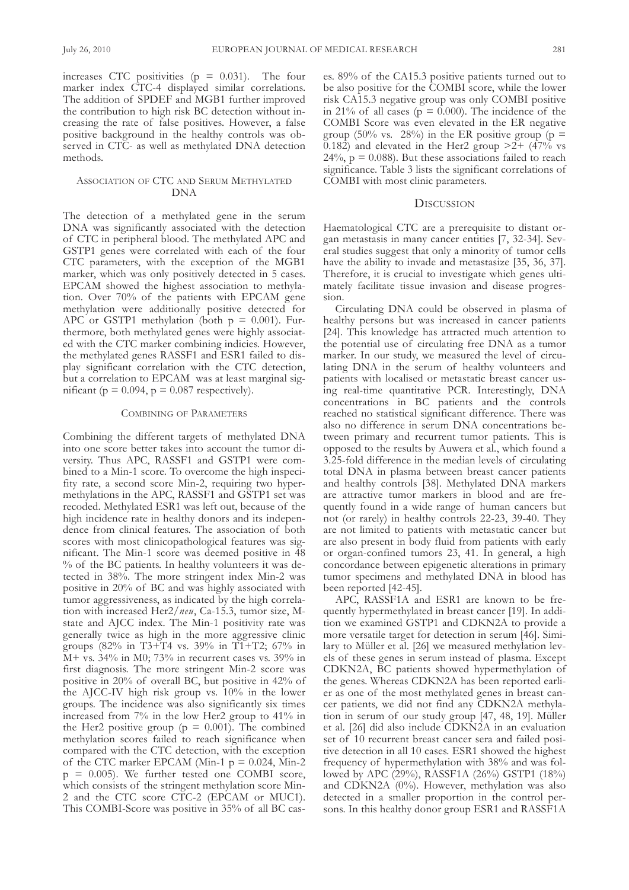increases CTC positivities  $(p = 0.031)$ . The four marker index CTC-4 displayed similar correlations. The addition of SPDEF and MGB1 further improved the contribution to high risk BC detection without increasing the rate of false positives. However, a false positive background in the healthy controls was observed in CTC- as well as methylated DNA detection methods.

# ASSOCIATION OF CTC AND SERUM METHYLATED DNA

The detection of a methylated gene in the serum DNA was significantly associated with the detection of CTC in peripheral blood. The methylated APC and GStP1 genes were correlated with each of the four CTC parameters, with the exception of the MGB1 marker, which was only positively detected in 5 cases. EPCaM showed the highest association to methylation. Over 70% of the patients with EPCAM gene methylation were additionally positive detected for APC or GSTP1 methylation (both  $p = 0.001$ ). Furthermore, both methylated genes were highly associated with the CTC marker combining indicies. However, the methylated genes RASSF1 and ESR1 failed to display significant correlation with the CTC detection, but a correlation to EPCAM was at least marginal significant ( $p = 0.094$ ,  $p = 0.087$  respectively).

#### CoMBInInG of PaRaMEtERS

Combining the different targets of methylated DNA into one score better takes into account the tumor diversity. Thus APC, RASSF1 and GSTP1 were combined to a Min-1 score. To overcome the high inspecifity rate, a second score Min-2, requiring two hypermethylations in the APC, RASSF1 and GSTP1 set was recoded. Methylated ESR1 was left out, because of the high incidence rate in healthy donors and its independence from clinical features. The association of both scores with most clinicopathological features was significant. The Min-1 score was deemed positive in 48 % of the BC patients. In healthy volunteers it was detected in 38%. The more stringent index Min-2 was positive in 20% of BC and was highly associated with tumor aggressiveness, as indicated by the high correlation with increased Her2/*neu*, Ca-15.3, tumor size, Mstate and AJCC index. The Min-1 positivity rate was generally twice as high in the more aggressive clinic groups (82% in T3+T4 vs. 39% in T1+T2; 67% in M+ vs. 34% in M0; 73% in recurrent cases vs. 39% in first diagnosis. The more stringent Min-2 score was positive in 20% of overall BC, but positive in 42% of the aJCC-Iv high risk group vs. 10% in the lower groups. the incidence was also significantly six times increased from 7% in the low Her2 group to 41% in the Her2 positive group ( $p = 0.001$ ). The combined methylation scores failed to reach significance when compared with the CTC detection, with the exception of the CTC marker EPCAM (Min-1  $p = 0.024$ , Min-2  $p = 0.005$ ). We further tested one COMBI score, which consists of the stringent methylation score Min-2 and the CTC score CTC-2 (EPCAM or MUC1). This COMBI-Score was positive in 35% of all BC cases. 89% of the Ca15.3 positive patients turned out to be also positive for the CoMBI score, while the lower risk Ca15.3 negative group was only CoMBI positive in 21% of all cases ( $p = 0.000$ ). The incidence of the CoMBI Score was even elevated in the ER negative group (50% vs. 28%) in the ER positive group ( $p =$ 0.182) and elevated in the Her2 group  $\geq 2+$  (47% vs  $24\%$ ,  $p = 0.088$ ). But these associations failed to reach significance. Table 3 lists the significant correlations of COMBI with most clinic parameters.

## **DISCUSSION**

Haematological CTC are a prerequisite to distant organ metastasis in many cancer entities [7, 32-34]. Several studies suggest that only a minority of tumor cells have the ability to invade and metastasize [35, 36, 37]. Therefore, it is crucial to investigate which genes ultimately facilitate tissue invasion and disease progression.

Circulating DNA could be observed in plasma of healthy persons but was increased in cancer patients [24]. This knowledge has attracted much attention to the potential use of circulating free DNA as a tumor marker. In our study, we measured the level of circulating DNA in the serum of healthy volunteers and patients with localised or metastatic breast cancer using real-time quantitative PCR. Interestingly, DNA concentrations in BC patients and the controls reached no statistical significant difference. There was also no difference in serum DNA concentrations between primary and recurrent tumor patients. This is opposed to the results by Auwera et al., which found a 3.25-fold difference in the median levels of circulating total DNA in plasma between breast cancer patients and healthy controls [38]. Methylated DNA markers are attractive tumor markers in blood and are frequently found in a wide range of human cancers but not (or rarely) in healthy controls 22-23, 39-40. They are not limited to patients with metastatic cancer but are also present in body fluid from patients with early or organ-confined tumors 23, 41. In general, a high concordance between epigenetic alterations in primary tumor specimens and methylated DNA in blood has been reported [42-45].

APC, RASSF1A and ESR1 are known to be frequently hypermethylated in breast cancer [19]. In addition we examined GSTP1 and CDKN2A to provide a more versatile target for detection in serum [46]. Similary to Müller et al. [26] we measured methylation levels of these genes in serum instead of plasma. Except CDKN2A, BC patients showed hypermethylation of the genes. Whereas CDKN2A has been reported earlier as one of the most methylated genes in breast cancer patients, we did not find any CDKN2A methylation in serum of our study group [47, 48, 19]. Müller et al. [26] did also include CDKN2A in an evaluation set of 10 recurrent breast cancer sera and failed positive detection in all 10 cases. ESR1 showed the highest frequency of hypermethylation with 38% and was followed by APC (29%), RASSF1A (26%) GSTP1 (18%) and CDKN2A  $(0\%)$ . However, methylation was also detected in a smaller proportion in the control persons. In this healthy donor group ESR1 and RASSF1A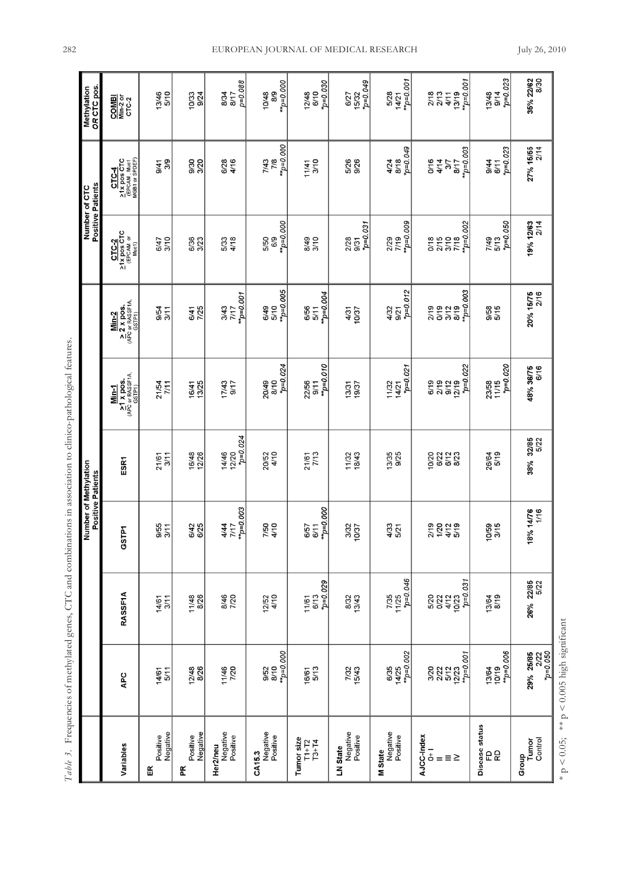|   | ł<br>í<br>j<br>֓֕֡                                 |
|---|----------------------------------------------------|
|   |                                                    |
|   | ł                                                  |
|   | i<br>j                                             |
|   |                                                    |
|   |                                                    |
|   | ì<br>į                                             |
|   |                                                    |
|   | $\vdots$                                           |
|   |                                                    |
|   | $\ddot{\phantom{0}}$<br>i                          |
|   | $\ddot{ }$<br>l                                    |
|   |                                                    |
|   | $\frac{1}{3}$                                      |
|   | j<br>くくり                                           |
|   |                                                    |
|   |                                                    |
|   |                                                    |
|   |                                                    |
|   |                                                    |
|   | j<br>į                                             |
|   | $\ddot{\ddot{\zeta}}$<br>$\ddot{\phantom{0}}$<br>I |
|   | $\frac{1}{2}$                                      |
|   |                                                    |
|   | $\frac{1}{2}$                                      |
|   | j                                                  |
|   |                                                    |
|   | i<br>J                                             |
|   |                                                    |
|   | i                                                  |
|   |                                                    |
|   | $\frac{1}{2}$                                      |
|   |                                                    |
|   | $+$<br>ı                                           |
|   |                                                    |
|   | ł                                                  |
|   |                                                    |
|   |                                                    |
|   | i<br>S                                             |
|   | ï                                                  |
| I | ł                                                  |
|   |                                                    |
|   | į                                                  |
|   | 10<br>Ĭñ                                           |
| ŀ |                                                    |

|                                           |                                                              |                                                | Number of Methylation<br><b>Positive Patients</b> |                               |                                                    |                                                              |                                                                               | <b>Positive Patients</b><br>Number of CTC              | OR CTC pos.<br>Methylation                  |
|-------------------------------------------|--------------------------------------------------------------|------------------------------------------------|---------------------------------------------------|-------------------------------|----------------------------------------------------|--------------------------------------------------------------|-------------------------------------------------------------------------------|--------------------------------------------------------|---------------------------------------------|
| Variables                                 | APC                                                          | <b>RASSF1A</b>                                 | GSTP1                                             | <b>ESR1</b>                   | 21 x pos.<br>(APC or RASSF1A,<br>GSTP1)<br>$Min-1$ | $2 \times p$ os.<br>(APC or RASSF1A,<br>$(SSTPI)$<br>$Min-2$ | $\frac{\text{CTC-2}}{\text{CIV-2}}$<br>$\frac{\text{CFC-2}}{\text{CFCAM}}$ or | CTC-4<br>21X pos CTC<br>(EPCAM, Muc1<br>MGB1 or SPDEF) | COMBI<br>Min-2 or<br>CTC-2                  |
| Negative<br>Positive<br>띥                 | 14/61<br>5/11                                                | 14/61<br>3/11                                  | 9/55<br>3/11                                      | 3/11<br>21/61                 | 21/54<br>7/11                                      | 9/54<br>3/11                                                 | 6/47<br>3/10                                                                  | 3/9<br>9/41                                            | 13/46<br>5/10                               |
| Negative<br>Positive<br>Æ                 | 12/48<br>8/26                                                | 11/48<br>8/26                                  | 6/42<br>6/25                                      | 16/48<br>12/26                | 16/41<br>13/25                                     | 6/41<br>7/25                                                 | 6/36<br>3/23                                                                  | 9/30<br>3/20                                           | 10/33<br>9/24                               |
| Negative<br>Positive<br>Her2/neu          | 11/46<br>7/20                                                | 8/46<br>7/20                                   | $m_{p=0.003}$<br>4/44<br>7/17                     | $p=0.024$<br>14/46<br>12/20   | 17/43<br>9/17                                      | $mp=0.001$<br>3/43<br>7/17                                   | 5/33<br>4/18                                                                  | 6/28<br>4/16                                           | $p = 0.088$<br>8/34<br>8/17                 |
| Negative<br>Positive<br>CA15.3            | $m_{p=0.000}$<br>8/10<br>9/52                                | 12/52<br>4/10                                  | 7/50<br>4/10                                      | 4/10<br>20/52                 | $*_{p=0.024}$<br>20/49<br>8/10                     | $m_{p=0.005}$<br>6/49<br>5/10                                | $m_{p=0.000}$<br>6/9<br>5/50                                                  | $m_{p=0.000}$<br>7/43<br>7/8                           | $m_{p=0.000}$<br>8/9<br>10/48               |
| Tumor size<br>$T3+T4$<br>$T1 + T2$        | 16/61<br>5/13                                                | $v_{\rm p=0.029}$<br>11/61<br>6/13             | $m_{p=0.000}$<br>6/57<br>6/11                     | 21/61<br>7/13                 | $m_{D=0.010}$<br>22/56<br>9/11                     | $m_{\text{p=0.004}}$<br>6/56<br>5/11                         | 8/49<br>3/10                                                                  | 3/10<br>11/41                                          | $np=0.030$<br>12/48<br>6/10                 |
| Negative<br>Positive<br>LN State          | 7/32<br>15/43                                                | 8/32<br>13/43                                  | 3/32<br>10/37                                     | 18/43<br>11/32                | 13/31<br>19/37                                     | 4/31<br>10/37                                                | $p=0.031$<br>2/28<br>9/31                                                     | 5/26<br>9/26                                           | 6/27<br>15/32<br>*p=0.049                   |
| Negative<br>Positive<br><b>M</b> State    | 6/35<br>14/25<br>**p=0.002                                   | $7p=0.046$<br>7/35<br>11/25                    | 4/33<br>5/21                                      | 9/25<br>13/35                 | 11/32<br>14/21<br>*p=0.021                         | $r_{D=0.012}$<br>4/32<br>9/21                                | $^{**}$ p=0.009<br>7/19<br>2/29                                               | p=0.049<br>8/18<br>4/24                                | $14/21$<br>**p=0.001<br>5/28                |
| AJCC-Index<br>$\overline{a}$<br>≡≥<br>$=$ | $mp=0.001$<br>3/20<br>2/22<br>5/12<br>12/23                  | $*_{p=0.031}$<br>5/22<br>5/27<br>4/12<br>10/23 | 2/19<br>$\frac{5}{25}$                            | 10/20<br>6/12<br>8/23<br>6/22 | $*_{p=0.022}$<br>2/19<br>$9/12$<br>$12/19$<br>6/19 | $r_{p=0.003}$<br>2/19<br>0/19<br>3/12<br>8/19                | $m_{p=0.002}$<br>2/15<br>$\frac{3}{1/8}$<br>0/18                              | $m_{p=0.003}$<br>0/16<br>4/14<br>3/7<br>8/17           | $mp=0.001$<br>2/18<br>2/13<br>13/19<br>4/11 |
| Disease status<br>요요                      | $m_{p=0.006}$<br>13/64<br>10/19                              | 13/64<br>8/19                                  | 10/59<br>3/15                                     | 26/64<br>5/19                 | $*_{p=0.020}$<br>23/58<br>11/15                    | 9/58<br>5/15                                                 | $p=0.050$<br>7/49<br>5/13                                                     | $p=0.023$<br>9/44<br>6/11                              | $p=0.023$<br>13/48<br>9/14                  |
| Control<br>Tumor<br>Group                 | <b>29% 25/85</b><br>2/22<br><i>p=0.050</i><br><i>p=0.050</i> | 26% 22/85<br>5/22                              | 18% 14/76<br>1/16                                 | 38% 32/85<br>5/22             | 48% 36/75<br>6/16                                  | 20% 15/75<br>2/16                                            | 19% 12/63<br>2/14                                                             | 27% 15/55<br>2/14                                      | 35% 22/62<br>8/30                           |
| $\rm p < 0.05;$<br>$\star$                | ** $p \le 0.005$ high significant                            |                                                |                                                   |                               |                                                    |                                                              |                                                                               |                                                        |                                             |

EUROPEAN JOURNAL OF MEDICAL RESEARCH July 26, 2010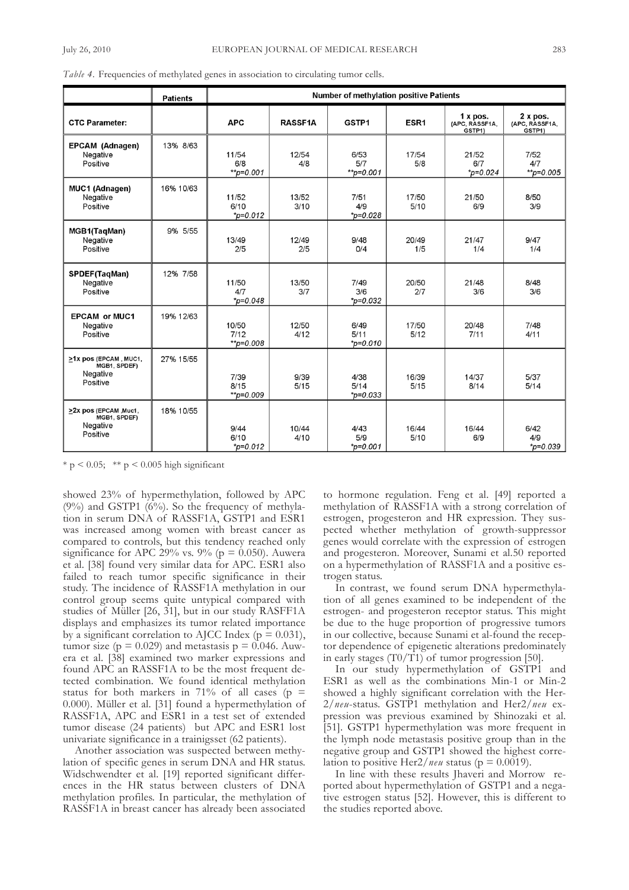|                                                                | <b>Patients</b> |                                | <b>Number of methylation positive Patients</b> |                               |               |                                      |                                    |
|----------------------------------------------------------------|-----------------|--------------------------------|------------------------------------------------|-------------------------------|---------------|--------------------------------------|------------------------------------|
| <b>CTC Parameter:</b>                                          |                 | <b>APC</b>                     | <b>RASSF1A</b>                                 | GSTP1                         | ESR1          | 1 x pos.<br>(APC, RASSF1A,<br>GSTP1) | 2xpos.<br>(APC, RASSF1A,<br>GSTP1) |
| EPCAM (Adnagen)<br>Negative<br>Positive                        | 13% 8/63        | 11/54<br>6/8<br>$*$ $p=0.001$  | 12/54<br>4/8                                   | 6/53<br>5/7<br>$*$ p=0.001    | 17/54<br>5/8  | 21/52<br>6/7<br>$*_{p=0.024}$        | 7/52<br>4/7<br>$*$ $p=0.005$       |
| <b>MUC1 (Adnagen)</b><br>Negative<br>Positive                  | 16% 10/63       | 11/52<br>6/10<br>$*_{p=0.012}$ | 13/52<br>3/10                                  | 7/51<br>4/9<br>$*_{p=0.028}$  | 17/50<br>5/10 | 21/50<br>6/9                         | 8/50<br>3/9                        |
| MGB1(TaqMan)<br>Negative<br>Positive                           | 9% 5/55         | 13/49<br>2/5                   | 12/49<br>2/5                                   | 9/48<br>0/4                   | 20/49<br>1/5  | 21/47<br>1/4                         | 9/47<br>1/4                        |
| SPDEF(TaqMan)<br>Negative<br>Positive                          | 12% 7/58        | 11/50<br>4/7<br>$p = 0.048$    | 13/50<br>3/7                                   | 7/49<br>3/6<br>$*_{p=0.032}$  | 20/50<br>2/7  | 21/48<br>3/6                         | 8/48<br>3/6                        |
| <b>EPCAM or MUC1</b><br>Negative<br>Positive                   | 19% 12/63       | 10/50<br>7/12<br>$*$ p=0.008   | 12/50<br>4/12                                  | 6/49<br>5/11<br>$*_{p=0.010}$ | 17/50<br>5/12 | 20/48<br>7/11                        | 7/48<br>4/11                       |
| >1x pos (EPCAM, MUC1,<br>MGB1, SPDEF)<br>Negative<br>Positive  | 27% 15/55       | 7/39<br>8/15<br>$*$ $p=0.009$  | 9/39<br>5/15                                   | 4/38<br>5/14<br>$*_{p=0.033}$ | 16/39<br>5/15 | 14/37<br>8/14                        | 5/37<br>5/14                       |
| >2x pos (EPCAM , Muc1,<br>MGB1, SPDEF)<br>Negative<br>Positive | 18% 10/55       | 9/44<br>6/10<br>$p=0.012$      | 10/44<br>4/10                                  | 4/43<br>5/9<br>$*_{p=0.001}$  | 16/44<br>5/10 | 16/44<br>6/9                         | 6/42<br>4/9<br>$*_{p=0.039}$       |

*Table 4.* frequencies of methylated genes in association to circulating tumor cells.

 $* p < 0.05$ ;  $* p < 0.005$  high significant

showed 23% of hypermethylation, followed by aPC  $(9\%)$  and GSTP1  $(6\%)$ . So the frequency of methylation in serum DNA of RASSF1A, GSTP1 and ESR1 was increased among women with breast cancer as compared to controls, but this tendency reached only significance for APC 29% vs. 9% ( $p = 0.050$ ). Auwera et al. [38] found very similar data for aPC. ESR1 also failed to reach tumor specific significance in their study. The incidence of RASSF1A methylation in our control group seems quite untypical compared with studies of Müller [26, 31], but in our study RASFF1A displays and emphasizes its tumor related importance by a significant correlation to AJCC Index ( $p = 0.031$ ), tumor size ( $p = 0.029$ ) and metastasis  $p = 0.046$ . Auwera et al. [38] examined two marker expressions and found APC an RASSF1A to be the most frequent detected combination. we found identical methylation status for both markers in 71% of all cases ( $p =$ 0.000). Müller et al. [31] found a hypermethylation of RaSSf1a, aPC and ESR1 in a test set of extended tumor disease (24 patients) but aPC and ESR1 lost univariate significance in a trainigsset (62 patients).

Another association was suspected between methylation of specific genes in serum DNA and HR status. widschwendter et al. [19] reported significant differences in the HR status between clusters of DNA methylation profiles. In particular, the methylation of RaSSf1a in breast cancer has already been associated

to hormone regulation. feng et al. [49] reported a methylation of RaSSf1a with a strong correlation of estrogen, progesteron and HR expression. They suspected whether methylation of growth-suppressor genes would correlate with the expression of estrogen and progesteron. Moreover, Sunami et al.50 reported on a hypermethylation of RaSSf1a and a positive estrogen status.

In contrast, we found serum DNA hypermethylation of all genes examined to be independent of the estrogen- and progesteron receptor status. This might be due to the huge proportion of progressive tumors in our collective, because Sunami et al-found the receptor dependence of epigenetic alterations predominately in early stages  $(T0/T1)$  of tumor progression [50].

In our study hypermethylation of GStP1 and ESR1 as well as the combinations Min-1 or Min-2 showed a highly significant correlation with the Her-2/*neu*-status. GStP1 methylation and Her2/*neu* expression was previous examined by Shinozaki et al. [51]. GStP1 hypermethylation was more frequent in the lymph node metastasis positive group than in the negative group and GStP1 showed the highest correlation to positive Her $2/$ *neu* status ( $p = 0.0019$ ).

In line with these results Jhaveri and Morrow reported about hypermethylation of GSTP1 and a negative estrogen status [52]. However, this is different to the studies reported above.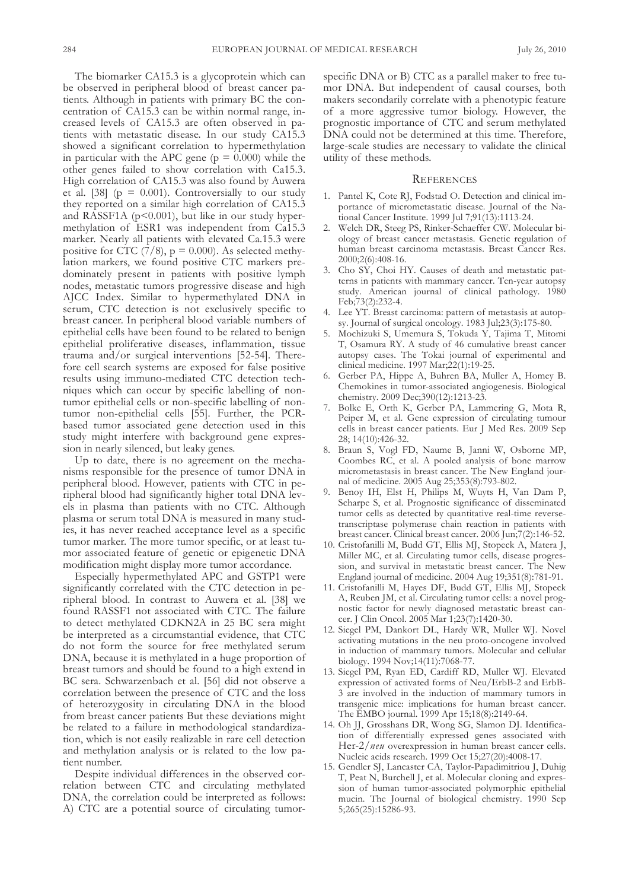The biomarker CA15.3 is a glycoprotein which can be observed in peripheral blood of breast cancer patients. although in patients with primary BC the concentration of CA15.3 can be within normal range, increased levels of Ca15.3 are often observed in patients with metastatic disease. In our study CA15.3 showed a significant correlation to hypermethylation in particular with the APC gene ( $p = 0.000$ ) while the other genes failed to show correlation with Ca15.3. High correlation of CA15.3 was also found by Auwera et al. [38]  $(p = 0.001)$ . Controversially to our study they reported on a similar high correlation of CA15.3 and RASSF1A ( $p$ <0.001), but like in our study hypermethylation of ESR1 was independent from Ca15.3 marker. Nearly all patients with elevated Ca.15.3 were positive for CTC (7/8),  $p = 0.000$ ). As selected methylation markers, we found positive CTC markers predominately present in patients with positive lymph nodes, metastatic tumors progressive disease and high AJCC Index. Similar to hypermethylated DNA in serum, CTC detection is not exclusively specific to breast cancer. In peripheral blood variable numbers of epithelial cells have been found to be related to benign epithelial proliferative diseases, inflammation, tissue trauma and/or surgical interventions  $[52-54]$ . Therefore cell search systems are exposed for false positive results using immuno-mediated CTC detection techniques which can occur by specific labelling of nontumor epithelial cells or non-specific labelling of nontumor non-epithelial cells [55]. further, the PCRbased tumor associated gene detection used in this study might interfere with background gene expression in nearly silenced, but leaky genes.

Up to date, there is no agreement on the mechanisms responsible for the presence of tumor DNA in peripheral blood. However, patients with CTC in peripheral blood had significantly higher total DNA levels in plasma than patients with no CTC. Although plasma or serum total DNA is measured in many studies, it has never reached acceptance level as a specific tumor marker. The more tumor specific, or at least tumor associated feature of genetic or epigenetic DNA modification might display more tumor accordance.

Especially hypermethylated aPC and GStP1 were significantly correlated with the CTC detection in peripheral blood. In contrast to Auwera et al. [38] we found RASSF1 not associated with CTC. The failure to detect methylated CDKN2A in 25 BC sera might be interpreted as a circumstantial evidence, that CTC do not form the source for free methylated serum DNA, because it is methylated in a huge proportion of breast tumors and should be found to a high extend in BC sera. Schwarzenbach et al. [56] did not observe a correlation between the presence of CTC and the loss of heterozygosity in circulating DNA in the blood from breast cancer patients But these deviations might be related to a failure in methodological standardization, which is not easily realizable in rare cell detection and methylation analysis or is related to the low patient number.

Despite individual differences in the observed correlation between CTC and circulating methylated DNA, the correlation could be interpreted as follows: A) CTC are a potential source of circulating tumorspecific DNA or B) CTC as a parallel maker to free tumor DNA. But independent of causal courses, both makers secondarily correlate with a phenotypic feature of a more aggressive tumor biology. However, the prognostic importance of CTC and serum methylated DNA could not be determined at this time. Therefore, large-scale studies are necessary to validate the clinical utility of these methods.

# **REFERENCES**

- 1. Pantel K, Cote RJ, Fodstad O. Detection and clinical importance of micrometastatic disease. Journal of the National Cancer Institute. 1999 Jul 7;91(13):1113-24.
- 2. Welch DR, Steeg PS, Rinker-Schaeffer CW. Molecular biology of breast cancer metastasis. Genetic regulation of human breast carcinoma metastasis. Breast Cancer Res. 2000;2(6):408-16.
- 3. Cho Sy, Choi Hy. Causes of death and metastatic patterns in patients with mammary cancer. Ten-year autopsy study. American journal of clinical pathology. 1980 feb;73(2):232-4.
- 4. Lee YT. Breast carcinoma: pattern of metastasis at autopsy. Journal of surgical oncology. 1983 Jul;23(3):175-80.
- 5. Mochizuki S, Umemura S, Tokuda Y, Tajima T, Mitomi T, Osamura RY. A study of 46 cumulative breast cancer autopsy cases. The Tokai journal of experimental and clinical medicine. 1997 Mar;22(1):19-25.
- 6. Gerber Pa, Hippe a, Buhren Ba, Muller a, Homey B. Chemokines in tumor-associated angiogenesis. Biological chemistry. 2009 Dec;390(12):1213-23.
- 7. Bolke E, orth K, Gerber Pa, lammering G, Mota R, Peiper M, et al. Gene expression of circulating tumour cells in breast cancer patients. Eur J Med Res. 2009 Sep 28; 14(10):426-32.
- 8. Braun S, Vogl FD, Naume B, Janni W, Osborne MP, Coombes RC, et al. A pooled analysis of bone marrow micrometastasis in breast cancer. The New England journal of medicine. 2005 Aug 25;353(8):793-802.
- 9. Benoy IH, Elst H, Philips M, Wuyts H, Van Dam P, Scharpe S, et al. Prognostic significance of disseminated tumor cells as detected by quantitative real-time reversetranscriptase polymerase chain reaction in patients with breast cancer. Clinical breast cancer. 2006 Jun;7(2):146-52.
- 10. Cristofanilli M, Budd GT, Ellis MJ, Stopeck A, Matera J, Miller MC, et al. Circulating tumor cells, disease progression, and survival in metastatic breast cancer. The New England journal of medicine. 2004 aug 19;351(8):781-91.
- 11. Cristofanilli M, Hayes DF, Budd GT, Ellis MJ, Stopeck A, Reuben JM, et al. Circulating tumor cells: a novel prognostic factor for newly diagnosed metastatic breast cancer. J Clin Oncol. 2005 Mar 1;23(7):1420-30.
- 12. Siegel PM, Dankort DL, Hardy WR, Muller WJ. Novel activating mutations in the neu proto-oncogene involved in induction of mammary tumors. Molecular and cellular biology. 1994 nov;14(11):7068-77.
- 13. Siegel PM, Ryan ED, Cardiff RD, Muller WJ. Elevated expression of activated forms of Neu/ErbB-2 and ErbB-3 are involved in the induction of mammary tumors in transgenic mice: implications for human breast cancer. the EMBo journal. 1999 apr 15;18(8):2149-64.
- 14. Oh JJ, Grosshans DR, Wong SG, Slamon DJ. Identification of differentially expressed genes associated with Her-2/*neu* overexpression in human breast cancer cells. nucleic acids research. 1999 oct 15;27(20):4008-17.
- 15. Gendler SJ, Lancaster CA, Taylor-Papadimitriou J, Duhig T, Peat N, Burchell J, et al. Molecular cloning and expression of human tumor-associated polymorphic epithelial mucin. the Journal of biological chemistry. 1990 Sep 5;265(25):15286-93.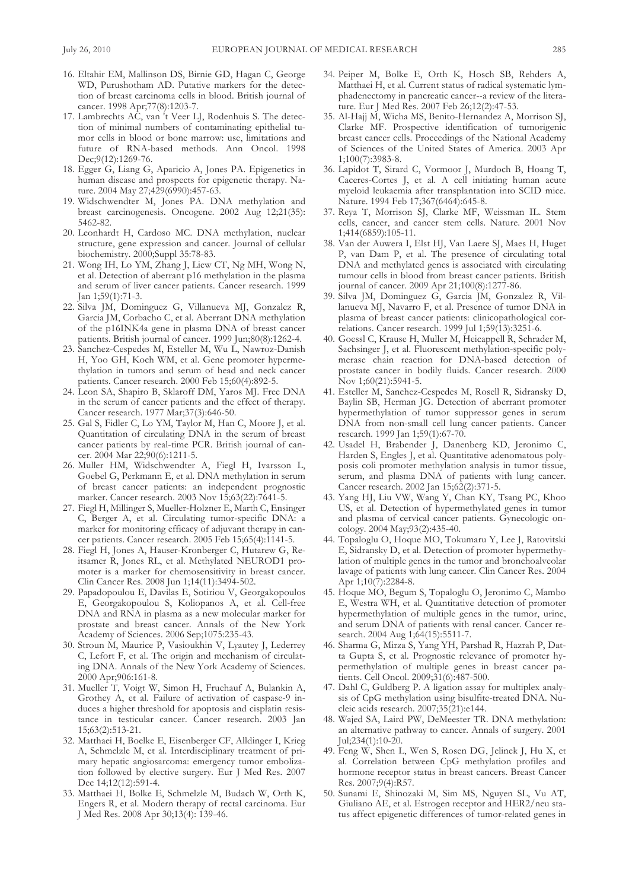- 16. Eltahir EM, Mallinson DS, Birnie GD, Hagan C, George WD, Purushotham AD. Putative markers for the detection of breast carcinoma cells in blood. British journal of cancer. 1998 apr;77(8):1203-7.
- 17. Lambrechts AC, van 't Veer LJ, Rodenhuis S. The detection of minimal numbers of contaminating epithelial tumor cells in blood or bone marrow: use, limitations and future of RNA-based methods. Ann Oncol. 1998 Dec;9(12):1269-76.
- 18. Egger G, liang G, aparicio a, Jones Pa. Epigenetics in human disease and prospects for epigenetic therapy. Nature. 2004 May 27;429(6990):457-63.
- 19. Widschwendter M, Jones PA. DNA methylation and breast carcinogenesis. Oncogene. 2002 Aug 12;21(35): 5462-82.
- 20. Leonhardt H, Cardoso MC. DNA methylation, nuclear structure, gene expression and cancer. Journal of cellular biochemistry. 2000;Suppl 35:78-83.
- 21. Wong IH, Lo YM, Zhang J, Liew CT, Ng MH, Wong N, et al. Detection of aberrant p16 methylation in the plasma and serum of liver cancer patients. Cancer research. 1999 Jan 1;59(1):71-3.
- 22. Silva JM, dominguez G, villanueva MJ, Gonzalez R, Garcia JM, Corbacho C, et al. Aberrant DNA methylation of the p16INK4a gene in plasma DNA of breast cancer patients. British journal of cancer. 1999 Jun;80(8):1262-4.
- 23. Sanchez-Cespedes M, Esteller M, Wu L, Nawroz-Danish H, yoo GH, Koch wM, et al. Gene promoter hypermethylation in tumors and serum of head and neck cancer patients. Cancer research. 2000 feb 15;60(4):892-5.
- 24. Leon SA, Shapiro B, Sklaroff DM, Yaros MJ. Free DNA in the serum of cancer patients and the effect of therapy. Cancer research. 1977 Mar;37(3):646-50.
- 25. Gal S, fidler C, lo yM, taylor M, Han C, Moore J, et al. Quantitation of circulating DNA in the serum of breast cancer patients by real-time PCR. British journal of cancer. 2004 Mar 22;90(6):1211-5.
- 26. Muller HM, widschwendter a, fiegl H, Ivarsson l, Goebel G, Perkmann E, et al. DNA methylation in serum of breast cancer patients: an independent prognostic marker. Cancer research. 2003 nov 15;63(22):7641-5.
- 27. fiegl H, Millinger S, Mueller-Holzner E, Marth C, Ensinger C, Berger A, et al. Circulating tumor-specific DNA: a marker for monitoring efficacy of adjuvant therapy in cancer patients. Cancer research. 2005 feb 15;65(4):1141-5.
- 28. fiegl H, Jones a, Hauser-Kronberger C, Hutarew G, Reitsamer R, Jones RL, et al. Methylated NEUROD1 promoter is a marker for chemosensitivity in breast cancer. Clin Cancer Res. 2008 Jun 1;14(11):3494-502.
- 29. Papadopoulou E, Davilas E, Sotiriou V, Georgakopoulos E, Georgakopoulou S, Koliopanos A, et al. Cell-free DNA and RNA in plasma as a new molecular marker for prostate and breast cancer. Annals of the New York academy of Sciences. 2006 Sep;1075:235-43.
- 30. Stroun M, Maurice P, vasioukhin v, lyautey J, lederrey C, Lefort F, et al. The origin and mechanism of circulating DNA. Annals of the New York Academy of Sciences. 2000 apr;906:161-8.
- 31. Mueller T, Voigt W, Simon H, Fruehauf A, Bulankin A, Grothey A, et al. Failure of activation of caspase-9 induces a higher threshold for apoptosis and cisplatin resistance in testicular cancer. Cancer research. 2003 Jan 15;63(2):513-21.
- 32. Matthaei H, Boelke E, Eisenberger Cf, alldinger I, Krieg a, Schmelzle M, et al. Interdisciplinary treatment of primary hepatic angiosarcoma: emergency tumor embolization followed by elective surgery. Eur J Med Res. 2007 Dec 14;12(12):591-4.
- 33. Matthaei H, Bolke E, Schmelzle M, Budach w, orth K, Engers R, et al. Modern therapy of rectal carcinoma. Eur J Med Res. 2008 apr 30;13(4): 139-46.
- 34. Peiper M, Bolke E, orth K, Hosch SB, Rehders a, Matthaei H, et al. Current status of radical systematic lymphadenectomy in pancreatic cancer--a review of the literature. Eur J Med Res. 2007 feb 26;12(2):47-53.
- 35. al-Hajj M, wicha MS, Benito-Hernandez a, Morrison SJ, Clarke Mf. Prospective identification of tumorigenic breast cancer cells. Proceedings of the National Academy of Sciences of the United States of America. 2003 Apr 1;100(7):3983-8.
- 36. Lapidot T, Sirard C, Vormoor J, Murdoch B, Hoang T, Caceres-Cortes J, et al. A cell initiating human acute myeloid leukaemia after transplantation into SCID mice. Nature. 1994 Feb 17;367(6464):645-8.
- 37. Reya T, Morrison SJ, Clarke MF, Weissman IL. Stem cells, cancer, and cancer stem cells. Nature. 2001 Nov 1;414(6859):105-11.
- 38. Van der Auwera I, Elst HJ, Van Laere SJ, Maes H, Huget P, van Dam P, et al. The presence of circulating total DNA and methylated genes is associated with circulating tumour cells in blood from breast cancer patients. British journal of cancer. 2009 apr 21;100(8):1277-86.
- 39. Silva JM, dominguez G, Garcia JM, Gonzalez R, villanueva MJ, Navarro F, et al. Presence of tumor DNA in plasma of breast cancer patients: clinicopathological correlations. Cancer research. 1999 Jul 1;59(13):3251-6.
- 40. Goessl C, Krause H, Muller M, Heicappell R, Schrader M, Sachsinger J, et al. fluorescent methylation-specific polymerase chain reaction for DNA-based detection of prostate cancer in bodily fluids. Cancer research. 2000 nov 1;60(21):5941-5.
- 41. Esteller M, Sanchez-Cespedes M, Rosell R, Sidransky D, Baylin SB, Herman JG. Detection of aberrant promoter hypermethylation of tumor suppressor genes in serum DNA from non-small cell lung cancer patients. Cancer research. 1999 Jan 1;59(1):67-70.
- 42. Usadel H, Brabender J, Danenberg KD, Jeronimo C, Harden S, Engles J, et al. Quantitative adenomatous polyposis coli promoter methylation analysis in tumor tissue, serum, and plasma DNA of patients with lung cancer. Cancer research. 2002 Jan 15;62(2):371-5.
- 43. yang HJ, liu vw, wang y, Chan Ky, tsang PC, Khoo US, et al. Detection of hypermethylated genes in tumor and plasma of cervical cancer patients. Gynecologic oncology. 2004 May;93(2):435-40.
- 44. Topaloglu O, Hoque MO, Tokumaru Y, Lee J, Ratovitski E, Sidransky D, et al. Detection of promoter hypermethylation of multiple genes in the tumor and bronchoalveolar lavage of patients with lung cancer. Clin Cancer Res. 2004 Apr 1;10(7):2284-8.
- 45. Hoque MO, Begum S, Topaloglu O, Jeronimo C, Mambo E, westra wH, et al. Quantitative detection of promoter hypermethylation of multiple genes in the tumor, urine, and serum DNA of patients with renal cancer. Cancer research. 2004 Aug 1;64(15):5511-7.
- 46. Sharma G, Mirza S, Yang YH, Parshad R, Hazrah P, Datta Gupta S, et al. Prognostic relevance of promoter hypermethylation of multiple genes in breast cancer patients. Cell Oncol. 2009;31(6):487-500.
- 47. Dahl C, Guldberg P. A ligation assay for multiplex analysis of CpG methylation using bisulfite-treated DNA. Nucleic acids research. 2007;35(21):e144.
- 48. Wajed SA, Laird PW, DeMeester TR. DNA methylation: an alternative pathway to cancer. Annals of surgery. 2001 Jul;234(1):10-20.
- 49. feng w, Shen l, wen S, Rosen dG, Jelinek J, Hu X, et al. Correlation between CpG methylation profiles and hormone receptor status in breast cancers. Breast Cancer Res. 2007;9(4):R57.
- 50. Sunami E, Shinozaki M, Sim MS, nguyen Sl, vu at, Giuliano aE, et al. Estrogen receptor and HER2/neu status affect epigenetic differences of tumor-related genes in